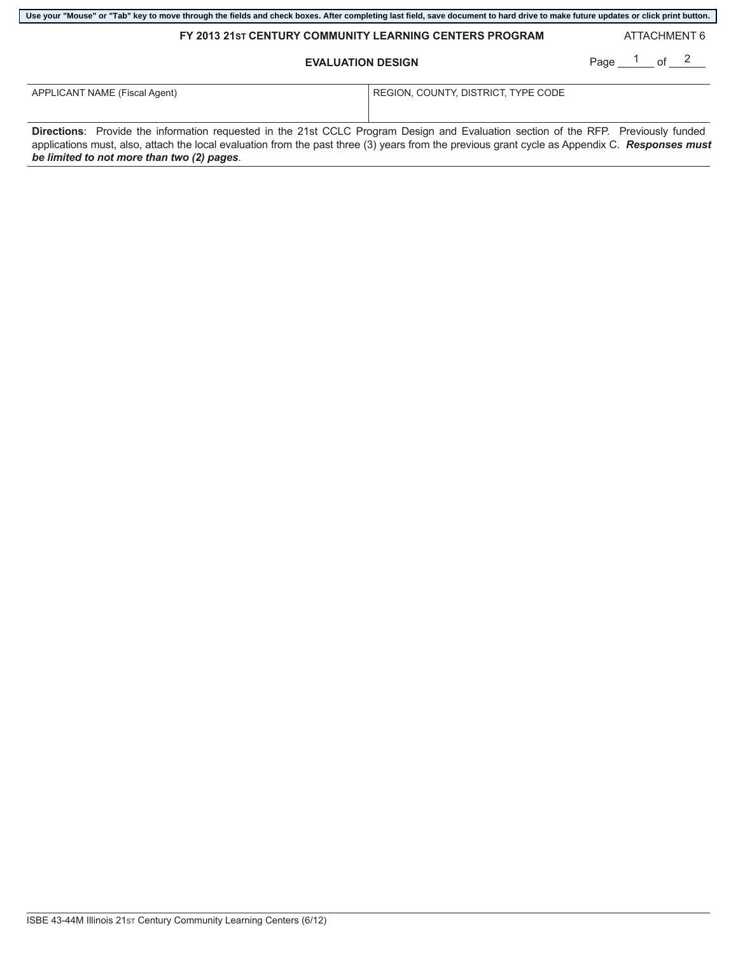| FY 2013 21st CENTURY COMMUNITY LEARNING CENTERS PROGRAM<br><b>EVALUATION DESIGN</b>                                                                                                                                                                                                                                                |                                     | ATTACHMENT 6    |
|------------------------------------------------------------------------------------------------------------------------------------------------------------------------------------------------------------------------------------------------------------------------------------------------------------------------------------|-------------------------------------|-----------------|
|                                                                                                                                                                                                                                                                                                                                    |                                     | Page $1$ of $2$ |
| APPLICANT NAME (Fiscal Agent)                                                                                                                                                                                                                                                                                                      | REGION, COUNTY, DISTRICT, TYPE CODE |                 |
| Directions: Provide the information requested in the 21st CCLC Program Design and Evaluation section of the RFP. Previously funded<br>applications must, also, attach the local evaluation from the past three (3) years from the previous grant cycle as Appendix C. Responses must<br>be limited to not more than two (2) pages. |                                     |                 |